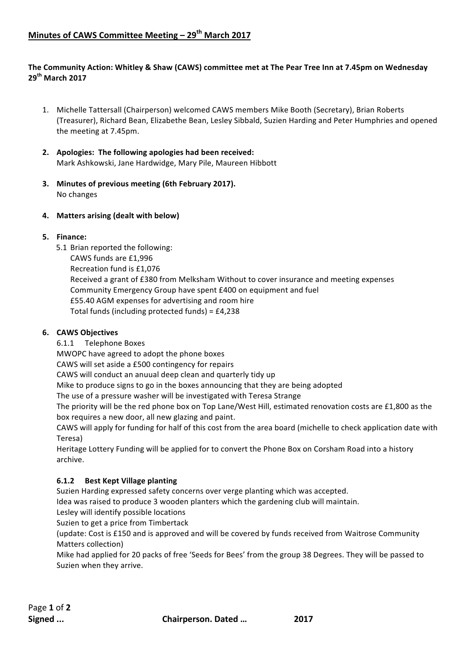# **Minutes of CAWS Committee Meeting – 29<sup>th</sup> March 2017**

### The Community Action: Whitley & Shaw (CAWS) committee met at The Pear Tree Inn at 7.45pm on Wednesday **29th March 2017**

- 1. Michelle Tattersall (Chairperson) welcomed CAWS members Mike Booth (Secretary), Brian Roberts (Treasurer), Richard Bean, Elizabethe Bean, Lesley Sibbald, Suzien Harding and Peter Humphries and opened the meeting at 7.45pm.
- 2. Apologies: The following apologies had been received: Mark Ashkowski, Jane Hardwidge, Mary Pile, Maureen Hibbott
- **3.** Minutes of previous meeting (6th February 2017). No changes
- **4.** Matters arising (dealt with below)

### **5. Finance:**

5.1 Brian reported the following:

CAWS funds are £1,996 Recreation fund is £1,076 Received a grant of £380 from Melksham Without to cover insurance and meeting expenses Community Emergency Group have spent £400 on equipment and fuel £55.40 AGM expenses for advertising and room hire Total funds (including protected funds) =  $£4,238$ 

#### **6. CAWS Objectives**

6.1.1 Telephone Boxes

MWOPC have agreed to adopt the phone boxes

CAWS will set aside a £500 contingency for repairs

CAWS will conduct an anuual deep clean and quarterly tidy up

Mike to produce signs to go in the boxes announcing that they are being adopted

The use of a pressure washer will be investigated with Teresa Strange

The priority will be the red phone box on Top Lane/West Hill, estimated renovation costs are £1,800 as the box requires a new door, all new glazing and paint.

CAWS will apply for funding for half of this cost from the area board (michelle to check application date with Teresa)

Heritage Lottery Funding will be applied for to convert the Phone Box on Corsham Road into a history archive.

### **6.1.2 Best Kept Village planting**

Suzien Harding expressed safety concerns over verge planting which was accepted.

Idea was raised to produce 3 wooden planters which the gardening club will maintain.

Lesley will identify possible locations

Suzien to get a price from Timbertack

(update: Cost is £150 and is approved and will be covered by funds received from Waitrose Community Matters collection)

Mike had applied for 20 packs of free 'Seeds for Bees' from the group 38 Degrees. They will be passed to Suzien when they arrive.